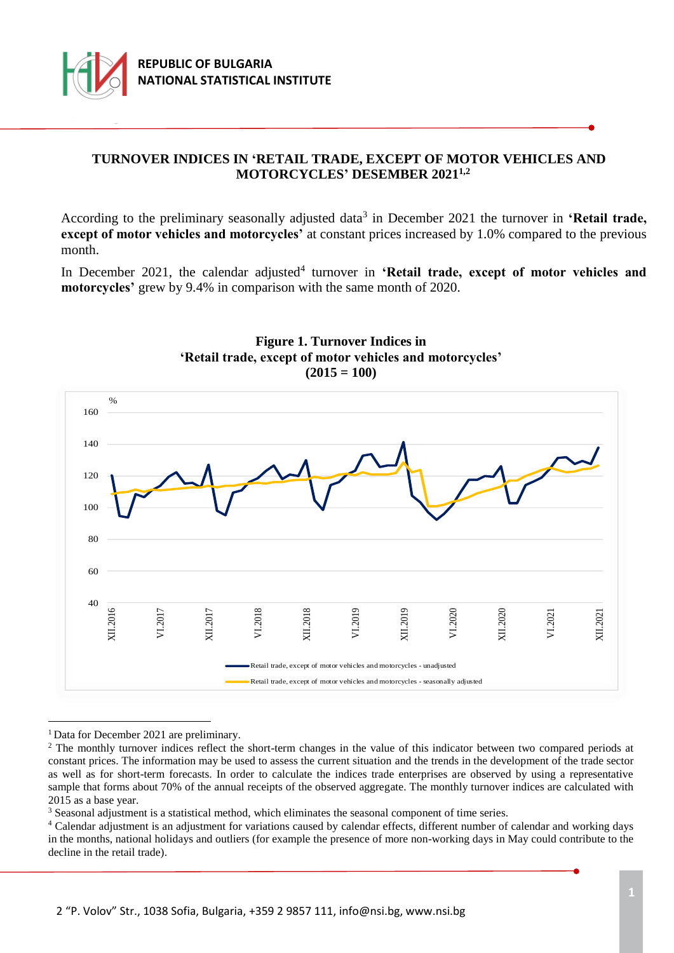

## **TURNOVER INDICES IN 'RETAIL TRADE, EXCEPT OF MOTOR VEHICLES AND MOTORCYCLES' DESEMBER 20211,2**

According to the preliminary seasonally adjusted data<sup>3</sup> in December 2021 the turnover in 'Retail trade, **except of motor vehicles and motorcycles'** at constant prices increased by 1.0% compared to the previous month.

In December 2021, the calendar adjusted<sup>4</sup> turnover in 'Retail trade, except of motor vehicles and **motorcycles'** grew by 9.4% in comparison with the same month of 2020.





<sup>1</sup> Data for December 2021 are preliminary.

i

<sup>3</sup> Seasonal adjustment is a statistical method, which eliminates the seasonal component of time series.

<sup>&</sup>lt;sup>2</sup> The monthly turnover indices reflect the short-term changes in the value of this indicator between two compared periods at constant prices. The information may be used to assess the current situation and the trends in the development of the trade sector as well as for short-term forecasts. In order to calculate the indices trade enterprises are observed by using a representative sample that forms about 70% of the annual receipts of the observed aggregate. The monthly turnover indices are calculated with 2015 as a base year.

<sup>&</sup>lt;sup>4</sup> Calendar adjustment is an adjustment for variations caused by calendar effects, different number of calendar and working days in the months, national holidays and outliers (for example the presence of more non-working days in May could contribute to the decline in the retail trade).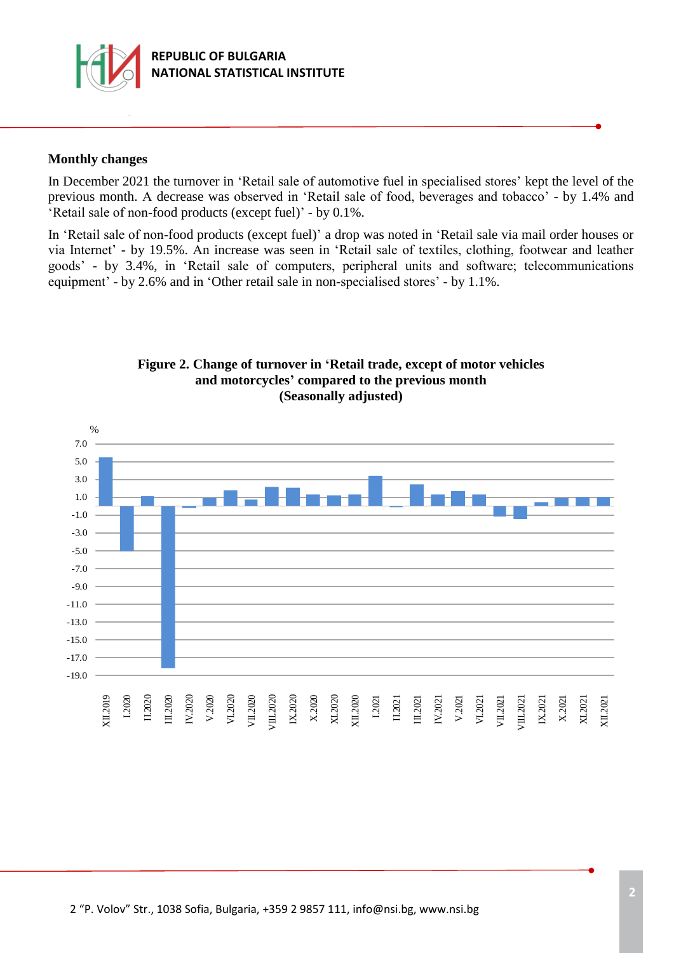

#### **Monthly changes**

In December 2021 the turnover in 'Retail sale of automotive fuel in specialised stores' kept the level of the previous month. А decrease was observed in 'Retail sale of food, beverages and tobacco' - by 1.4% and 'Retail sale of non-food products (except fuel)' - by 0.1%.

In 'Retail sale of non-food products (except fuel)' a drop was noted in 'Retail sale via mail order houses or via Internet' - by 19.5%. Аn increase was seen in 'Retail sale of textiles, clothing, footwear and leather goods' - by 3.4%, in 'Retail sale of computers, peripheral units and software; telecommunications equipment' - by 2.6% and in 'Other retail sale in non-specialised stores' - by 1.1%.



### **Figure 2. Change of turnover in 'Retail trade, except of motor vehicles and motorcycles' compared to the previous month (Seasonally adjusted)**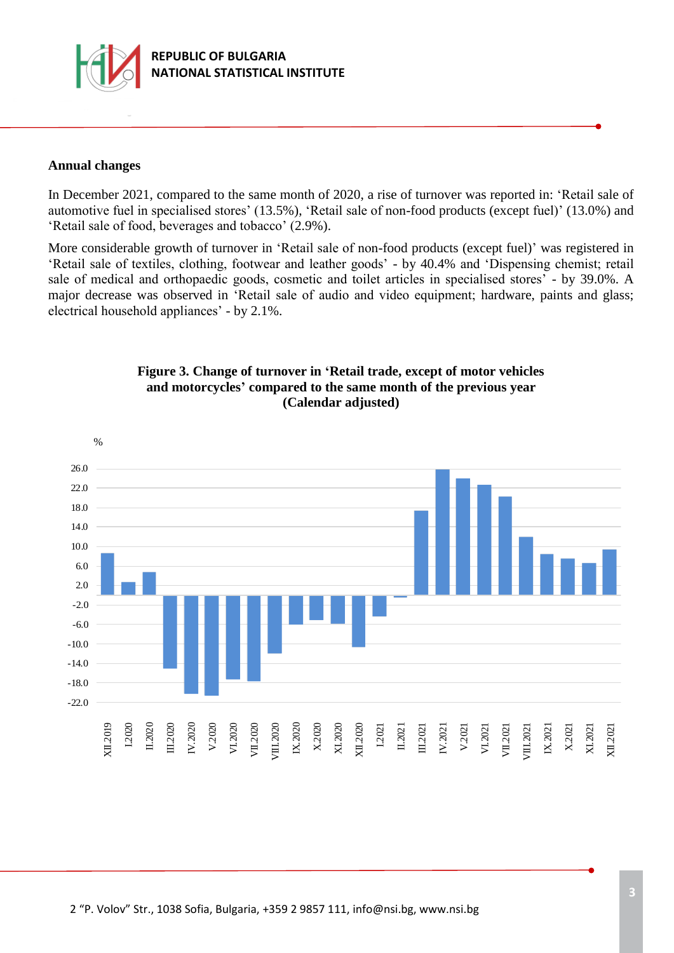

### **Annual changes**

In December 2021, compared to the same month of 2020, a rise of turnover was reported in: 'Retail sale of automotive fuel in specialised stores' (13.5%), 'Retail sale of non-food products (except fuel)' (13.0%) and 'Retail sale of food, beverages and tobacco' (2.9%).

More considerable growth of turnover in 'Retail sale of non-food products (except fuel)' was registered in 'Retail sale of textiles, clothing, footwear and leather goods' - by 40.4% and 'Dispensing chemist; retail sale of medical and orthopaedic goods, cosmetic and toilet articles in specialised stores' - by 39.0%. A major decrease was observed in 'Retail sale of audio and video equipment; hardware, paints and glass; electrical household appliances' - by 2.1%.



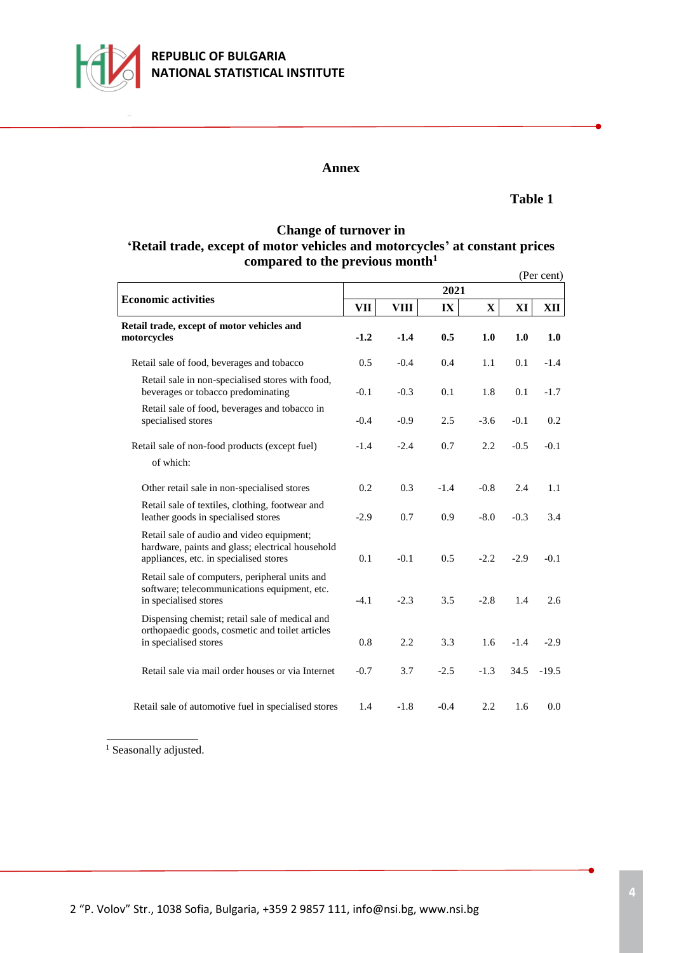

### **Annex**

#### **Table 1**

## **Change of turnover in 'Retail trade, except of motor vehicles and motorcycles' at constant prices compared to the previous month<sup>1</sup>**

|                                                                                                                                         |        |        |                         |        |        | (Per cent) |  |  |  |  |
|-----------------------------------------------------------------------------------------------------------------------------------------|--------|--------|-------------------------|--------|--------|------------|--|--|--|--|
| <b>Economic activities</b>                                                                                                              | 2021   |        |                         |        |        |            |  |  |  |  |
|                                                                                                                                         | VП     | VIII   | $\mathbf{I} \mathbf{X}$ | X      | XI     | XII        |  |  |  |  |
| Retail trade, except of motor vehicles and<br>motorcycles                                                                               | $-1.2$ | $-1.4$ | 0.5                     | 1.0    | 1.0    | 1.0        |  |  |  |  |
| Retail sale of food, beverages and tobacco                                                                                              | 0.5    | $-0.4$ | 0.4                     | 1.1    | 0.1    | $-1.4$     |  |  |  |  |
| Retail sale in non-specialised stores with food,<br>beverages or tobacco predominating                                                  | $-0.1$ | $-0.3$ | 0.1                     | 1.8    | 0.1    | $-1.7$     |  |  |  |  |
| Retail sale of food, beverages and tobacco in<br>specialised stores                                                                     | $-0.4$ | $-0.9$ | 2.5                     | $-3.6$ | $-0.1$ | 0.2        |  |  |  |  |
| Retail sale of non-food products (except fuel)<br>of which:                                                                             | $-1.4$ | $-2.4$ | 0.7                     | 2.2    | $-0.5$ | $-0.1$     |  |  |  |  |
| Other retail sale in non-specialised stores                                                                                             | 0.2    | 0.3    | $-1.4$                  | $-0.8$ | 2.4    | 1.1        |  |  |  |  |
| Retail sale of textiles, clothing, footwear and<br>leather goods in specialised stores                                                  | $-2.9$ | 0.7    | 0.9                     | $-8.0$ | $-0.3$ | 3.4        |  |  |  |  |
| Retail sale of audio and video equipment;<br>hardware, paints and glass; electrical household<br>appliances, etc. in specialised stores | 0.1    | $-0.1$ | 0.5                     | $-2.2$ | $-2.9$ | $-0.1$     |  |  |  |  |
| Retail sale of computers, peripheral units and<br>software; telecommunications equipment, etc.<br>in specialised stores                 | $-4.1$ | $-2.3$ | 3.5                     | $-2.8$ | 1.4    | 2.6        |  |  |  |  |
| Dispensing chemist; retail sale of medical and<br>orthopaedic goods, cosmetic and toilet articles<br>in specialised stores              | 0.8    | 2.2    | 3.3                     | 1.6    | $-1.4$ | $-2.9$     |  |  |  |  |
| Retail sale via mail order houses or via Internet                                                                                       | $-0.7$ | 3.7    | $-2.5$                  | $-1.3$ | 34.5   | $-19.5$    |  |  |  |  |
| Retail sale of automotive fuel in specialised stores                                                                                    | 1.4    | $-1.8$ | $-0.4$                  | 2.2    | 1.6    | 0.0        |  |  |  |  |

 $^{\rm 1}$  Seasonally adjusted.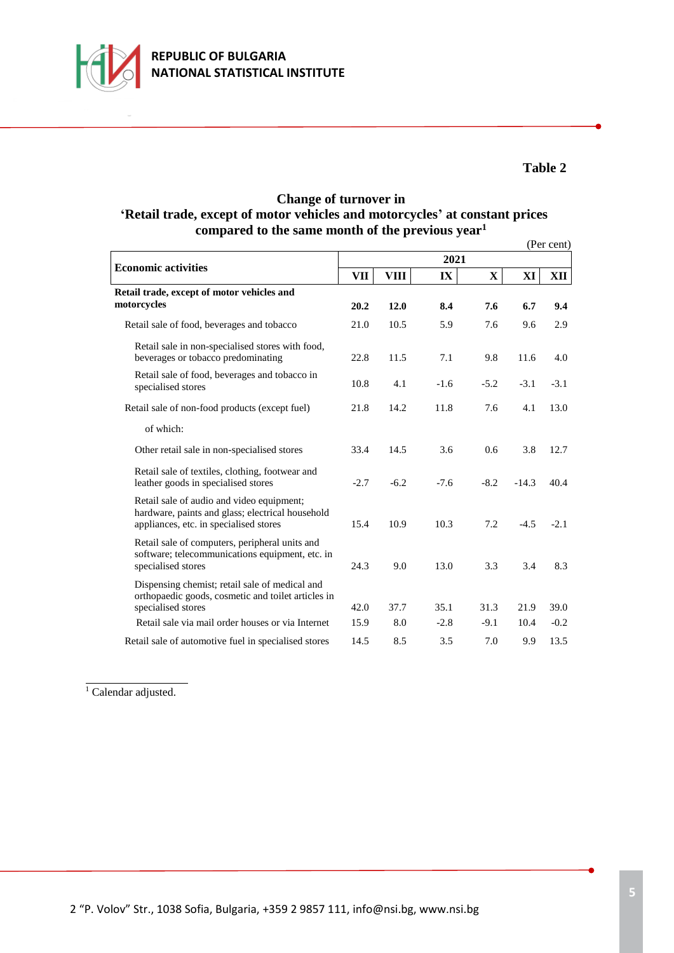

## **Table 2**

## **Change of turnover in 'Retail trade, except of motor vehicles and motorcycles' at constant prices compared to the same month of the previous year<sup>1</sup>**

|                                                                                                                                         |        |             |        |        |         | (Per cent) |  |  |  |  |  |
|-----------------------------------------------------------------------------------------------------------------------------------------|--------|-------------|--------|--------|---------|------------|--|--|--|--|--|
|                                                                                                                                         | 2021   |             |        |        |         |            |  |  |  |  |  |
| <b>Economic activities</b>                                                                                                              | VП     | <b>VIII</b> | IX     | X      | XI      | XII        |  |  |  |  |  |
| Retail trade, except of motor vehicles and<br>motorcycles                                                                               | 20.2   | 12.0        | 8.4    | 7.6    | 6.7     | 9.4        |  |  |  |  |  |
| Retail sale of food, beverages and tobacco                                                                                              | 21.0   | 10.5        | 5.9    | 7.6    | 9.6     | 2.9        |  |  |  |  |  |
| Retail sale in non-specialised stores with food,<br>beverages or tobacco predominating                                                  | 22.8   | 11.5        | 7.1    | 9.8    | 11.6    | 4.0        |  |  |  |  |  |
| Retail sale of food, beverages and tobacco in<br>specialised stores                                                                     | 10.8   | 4.1         | $-1.6$ | $-5.2$ | $-3.1$  | $-3.1$     |  |  |  |  |  |
| Retail sale of non-food products (except fuel)                                                                                          | 21.8   | 14.2        | 11.8   | 7.6    | 4.1     | 13.0       |  |  |  |  |  |
| of which:                                                                                                                               |        |             |        |        |         |            |  |  |  |  |  |
| Other retail sale in non-specialised stores                                                                                             | 33.4   | 14.5        | 3.6    | 0.6    | 3.8     | 12.7       |  |  |  |  |  |
| Retail sale of textiles, clothing, footwear and<br>leather goods in specialised stores                                                  | $-2.7$ | $-6.2$      | $-7.6$ | $-8.2$ | $-14.3$ | 40.4       |  |  |  |  |  |
| Retail sale of audio and video equipment;<br>hardware, paints and glass; electrical household<br>appliances, etc. in specialised stores | 15.4   | 10.9        | 10.3   | 7.2    | $-4.5$  | $-2.1$     |  |  |  |  |  |
| Retail sale of computers, peripheral units and<br>software; telecommunications equipment, etc. in<br>specialised stores                 | 24.3   | 9.0         | 13.0   | 3.3    | 3.4     | 8.3        |  |  |  |  |  |
| Dispensing chemist; retail sale of medical and<br>orthopaedic goods, cosmetic and toilet articles in<br>specialised stores              | 42.0   | 37.7        | 35.1   | 31.3   | 21.9    | 39.0       |  |  |  |  |  |
| Retail sale via mail order houses or via Internet                                                                                       | 15.9   | 8.0         | $-2.8$ | $-9.1$ | 10.4    | $-0.2$     |  |  |  |  |  |
| Retail sale of automotive fuel in specialised stores                                                                                    | 14.5   | 8.5         | 3.5    | 7.0    | 9.9     | 13.5       |  |  |  |  |  |

<sup>1</sup> Calendar adjusted.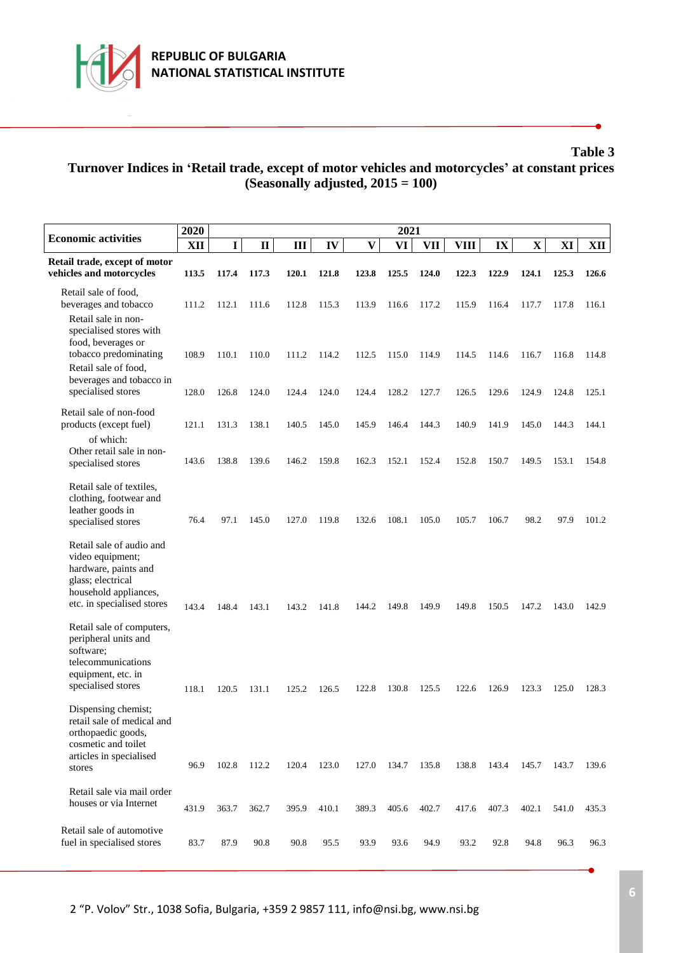

**Table 3**

# **Turnover Indices in 'Retail trade, except of motor vehicles and motorcycles' at constant prices (Seasonally adjusted, 2015 = 100)**

| <b>Economic activities</b>                                                                                                                        | 2020  |             |              |       |       |                         | 2021  |            |             |       |             |       |       |
|---------------------------------------------------------------------------------------------------------------------------------------------------|-------|-------------|--------------|-------|-------|-------------------------|-------|------------|-------------|-------|-------------|-------|-------|
|                                                                                                                                                   | XII   | $\mathbf I$ | $\mathbf{I}$ | Ш     | IV    | $\overline{\mathbf{V}}$ | VI    | <b>VII</b> | <b>VIII</b> | IX    | $\mathbf X$ | XI    | XII   |
| Retail trade, except of motor<br>vehicles and motorcycles                                                                                         | 113.5 | 117.4       | 117.3        | 120.1 | 121.8 | 123.8                   | 125.5 | 124.0      | 122.3       | 122.9 | 124.1       | 125.3 | 126.6 |
| Retail sale of food,<br>beverages and tobacco                                                                                                     | 111.2 | 112.1       | 111.6        | 112.8 | 115.3 | 113.9                   | 116.6 | 117.2      | 115.9       | 116.4 | 117.7       | 117.8 | 116.1 |
| Retail sale in non-<br>specialised stores with<br>food, beverages or<br>tobacco predominating<br>Retail sale of food,<br>beverages and tobacco in | 108.9 | 110.1       | 110.0        | 111.2 | 114.2 | 112.5                   | 115.0 | 114.9      | 114.5       | 114.6 | 116.7       | 116.8 | 114.8 |
| specialised stores                                                                                                                                | 128.0 | 126.8       | 124.0        | 124.4 | 124.0 | 124.4                   | 128.2 | 127.7      | 126.5       | 129.6 | 124.9       | 124.8 | 125.1 |
| Retail sale of non-food<br>products (except fuel)                                                                                                 | 121.1 | 131.3       | 138.1        | 140.5 | 145.0 | 145.9                   | 146.4 | 144.3      | 140.9       | 141.9 | 145.0       | 144.3 | 144.1 |
| of which:<br>Other retail sale in non-<br>specialised stores                                                                                      | 143.6 | 138.8       | 139.6        | 146.2 | 159.8 | 162.3                   | 152.1 | 152.4      | 152.8       | 150.7 | 149.5       | 153.1 | 154.8 |
| Retail sale of textiles,<br>clothing, footwear and<br>leather goods in<br>specialised stores                                                      | 76.4  | 97.1        | 145.0        | 127.0 | 119.8 | 132.6                   | 108.1 | 105.0      | 105.7       | 106.7 | 98.2        | 97.9  | 101.2 |
| Retail sale of audio and<br>video equipment;<br>hardware, paints and<br>glass; electrical<br>household appliances,<br>etc. in specialised stores  | 143.4 | 148.4       | 143.1        | 143.2 | 141.8 | 144.2                   | 149.8 | 149.9      | 149.8       | 150.5 | 147.2       | 143.0 | 142.9 |
| Retail sale of computers,<br>peripheral units and<br>software;<br>telecommunications<br>equipment, etc. in<br>specialised stores                  | 118.1 | 120.5       | 131.1        | 125.2 | 126.5 | 122.8                   | 130.8 | 125.5      | 122.6       | 126.9 | 123.3       | 125.0 | 128.3 |
| Dispensing chemist;<br>retail sale of medical and<br>orthopaedic goods,<br>cosmetic and toilet<br>articles in specialised<br>stores               | 96.9  | 102.8       | 112.2        | 120.4 | 123.0 | 127.0                   | 134.7 | 135.8      | 138.8       | 143.4 | 145.7       | 143.7 | 139.6 |
| Retail sale via mail order<br>houses or via Internet                                                                                              |       |             |              |       |       |                         |       |            |             |       |             |       |       |
|                                                                                                                                                   | 431.9 | 363.7       | 362.7        | 395.9 | 410.1 | 389.3                   | 405.6 | 402.7      | 417.6       | 407.3 | 402.1       | 541.0 | 435.3 |
| Retail sale of automotive<br>fuel in specialised stores                                                                                           | 83.7  | 87.9        | 90.8         | 90.8  | 95.5  | 93.9                    | 93.6  | 94.9       | 93.2        | 92.8  | 94.8        | 96.3  | 96.3  |